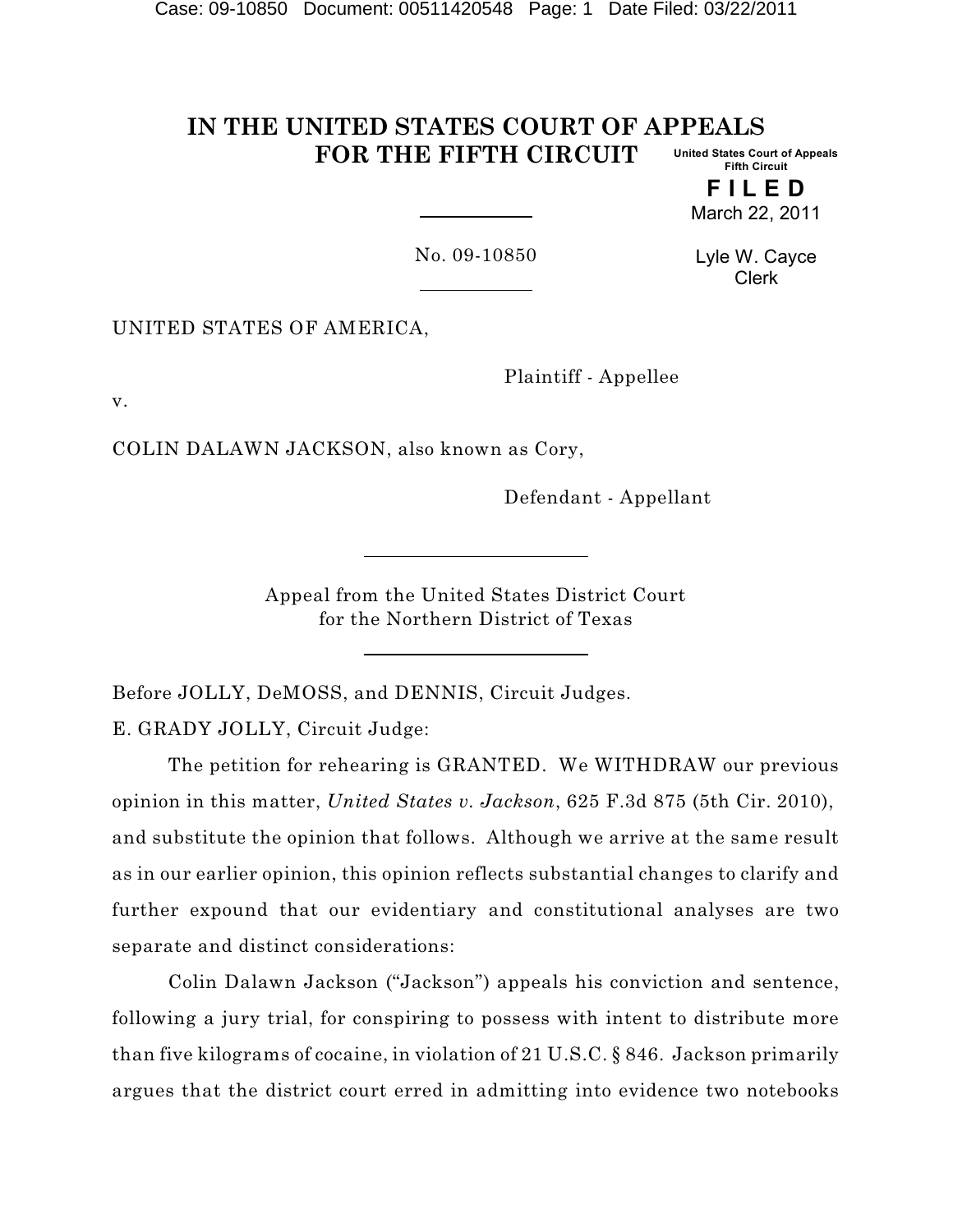#### **IN THE UNITED STATES COURT OF APPEALS FOR THE FIFTH CIRCUIT United States Court of Appeals Fifth Circuit**

**F I L E D** March 22, 2011

No. 09-10850

Lyle W. Cayce Clerk

UNITED STATES OF AMERICA,

Plaintiff - Appellee

v.

COLIN DALAWN JACKSON, also known as Cory,

Defendant - Appellant

Appeal from the United States District Court for the Northern District of Texas

Before JOLLY, DeMOSS, and DENNIS, Circuit Judges.

E. GRADY JOLLY, Circuit Judge:

The petition for rehearing is GRANTED. We WITHDRAW our previous opinion in this matter, *United States v. Jackson*, 625 F.3d 875 (5th Cir. 2010), and substitute the opinion that follows. Although we arrive at the same result as in our earlier opinion, this opinion reflects substantial changes to clarify and further expound that our evidentiary and constitutional analyses are two separate and distinct considerations:

Colin Dalawn Jackson ("Jackson") appeals his conviction and sentence, following a jury trial, for conspiring to possess with intent to distribute more than five kilograms of cocaine, in violation of 21 U.S.C. § 846. Jackson primarily argues that the district court erred in admitting into evidence two notebooks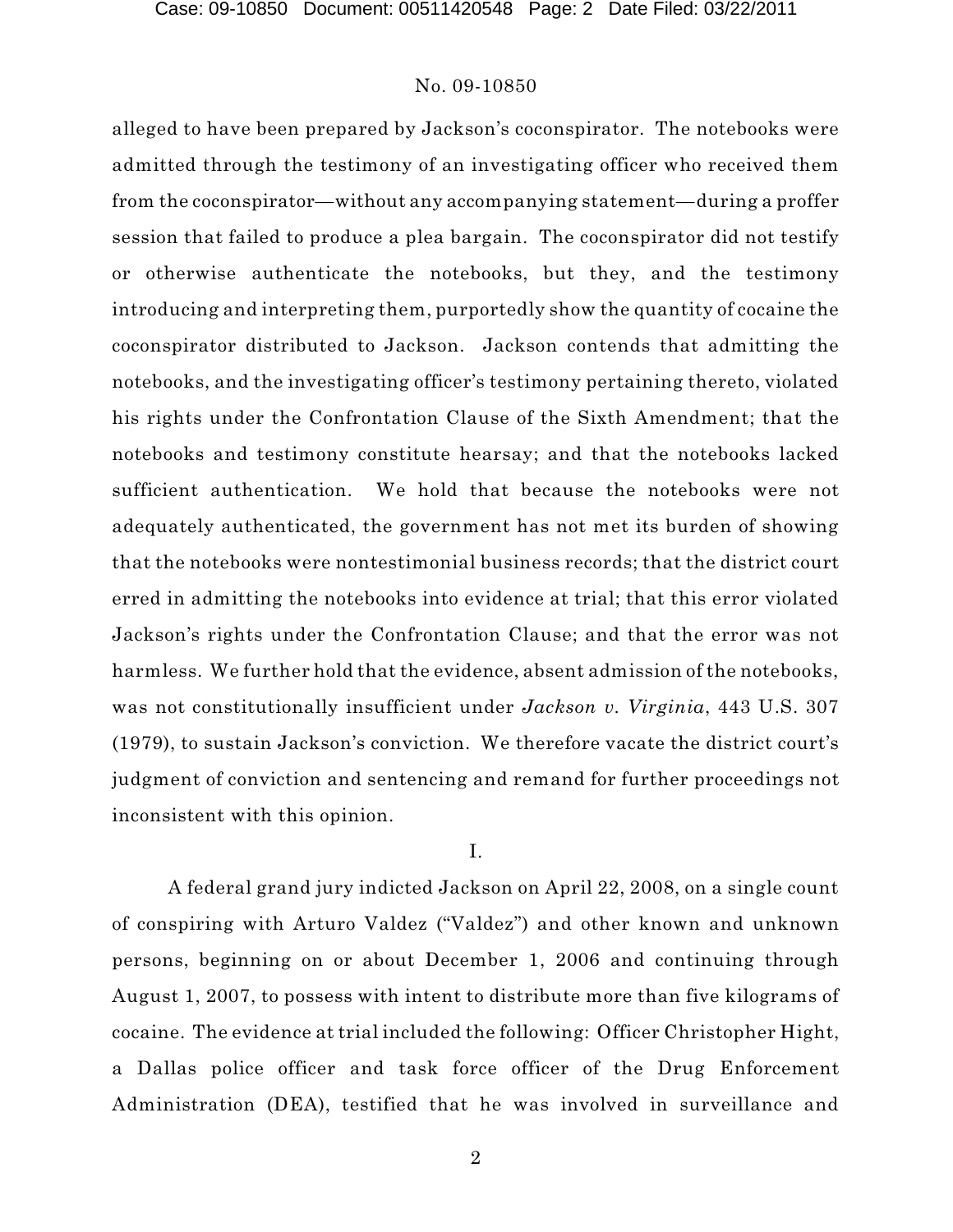alleged to have been prepared by Jackson's coconspirator. The notebooks were admitted through the testimony of an investigating officer who received them from the coconspirator—without any accompanying statement—during a proffer session that failed to produce a plea bargain. The coconspirator did not testify or otherwise authenticate the notebooks, but they, and the testimony introducing and interpreting them, purportedly show the quantity of cocaine the coconspirator distributed to Jackson. Jackson contends that admitting the notebooks, and the investigating officer's testimony pertaining thereto, violated his rights under the Confrontation Clause of the Sixth Amendment; that the notebooks and testimony constitute hearsay; and that the notebooks lacked sufficient authentication. We hold that because the notebooks were not adequately authenticated, the government has not met its burden of showing that the notebooks were nontestimonial business records; that the district court erred in admitting the notebooks into evidence at trial; that this error violated Jackson's rights under the Confrontation Clause; and that the error was not harmless. We further hold that the evidence, absent admission of the notebooks, was not constitutionally insufficient under *Jackson v. Virginia*, 443 U.S. 307 (1979), to sustain Jackson's conviction. We therefore vacate the district court's judgment of conviction and sentencing and remand for further proceedings not inconsistent with this opinion.

# I.

A federal grand jury indicted Jackson on April 22, 2008, on a single count of conspiring with Arturo Valdez ("Valdez") and other known and unknown persons, beginning on or about December 1, 2006 and continuing through August 1, 2007, to possess with intent to distribute more than five kilograms of cocaine. The evidence at trial included the following: Officer Christopher Hight, a Dallas police officer and task force officer of the Drug Enforcement Administration (DEA), testified that he was involved in surveillance and

2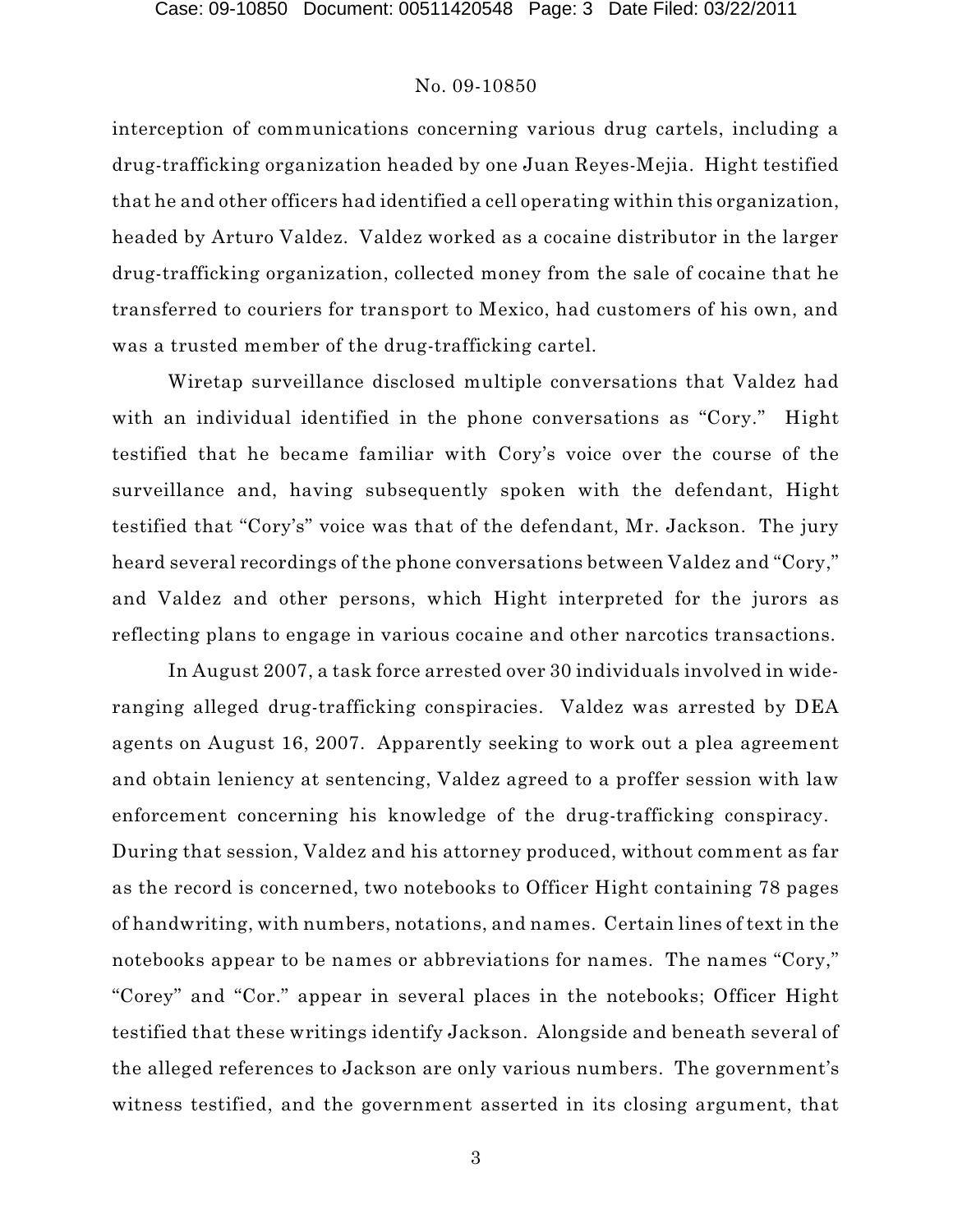interception of communications concerning various drug cartels, including a drug-trafficking organization headed by one Juan Reyes-Mejia. Hight testified that he and other officers had identified a cell operating within this organization, headed by Arturo Valdez. Valdez worked as a cocaine distributor in the larger drug-trafficking organization, collected money from the sale of cocaine that he transferred to couriers for transport to Mexico, had customers of his own, and was a trusted member of the drug-trafficking cartel.

Wiretap surveillance disclosed multiple conversations that Valdez had with an individual identified in the phone conversations as "Cory." Hight testified that he became familiar with Cory's voice over the course of the surveillance and, having subsequently spoken with the defendant, Hight testified that "Cory's" voice was that of the defendant, Mr. Jackson. The jury heard several recordings of the phone conversations between Valdez and "Cory," and Valdez and other persons, which Hight interpreted for the jurors as reflecting plans to engage in various cocaine and other narcotics transactions.

In August 2007, a task force arrested over 30 individuals involved in wideranging alleged drug-trafficking conspiracies. Valdez was arrested by DEA agents on August 16, 2007. Apparently seeking to work out a plea agreement and obtain leniency at sentencing, Valdez agreed to a proffer session with law enforcement concerning his knowledge of the drug-trafficking conspiracy. During that session, Valdez and his attorney produced, without comment as far as the record is concerned, two notebooks to Officer Hight containing 78 pages of handwriting, with numbers, notations, and names. Certain lines of text in the notebooks appear to be names or abbreviations for names. The names "Cory," "Corey" and "Cor." appear in several places in the notebooks; Officer Hight testified that these writings identify Jackson. Alongside and beneath several of the alleged references to Jackson are only various numbers. The government's witness testified, and the government asserted in its closing argument, that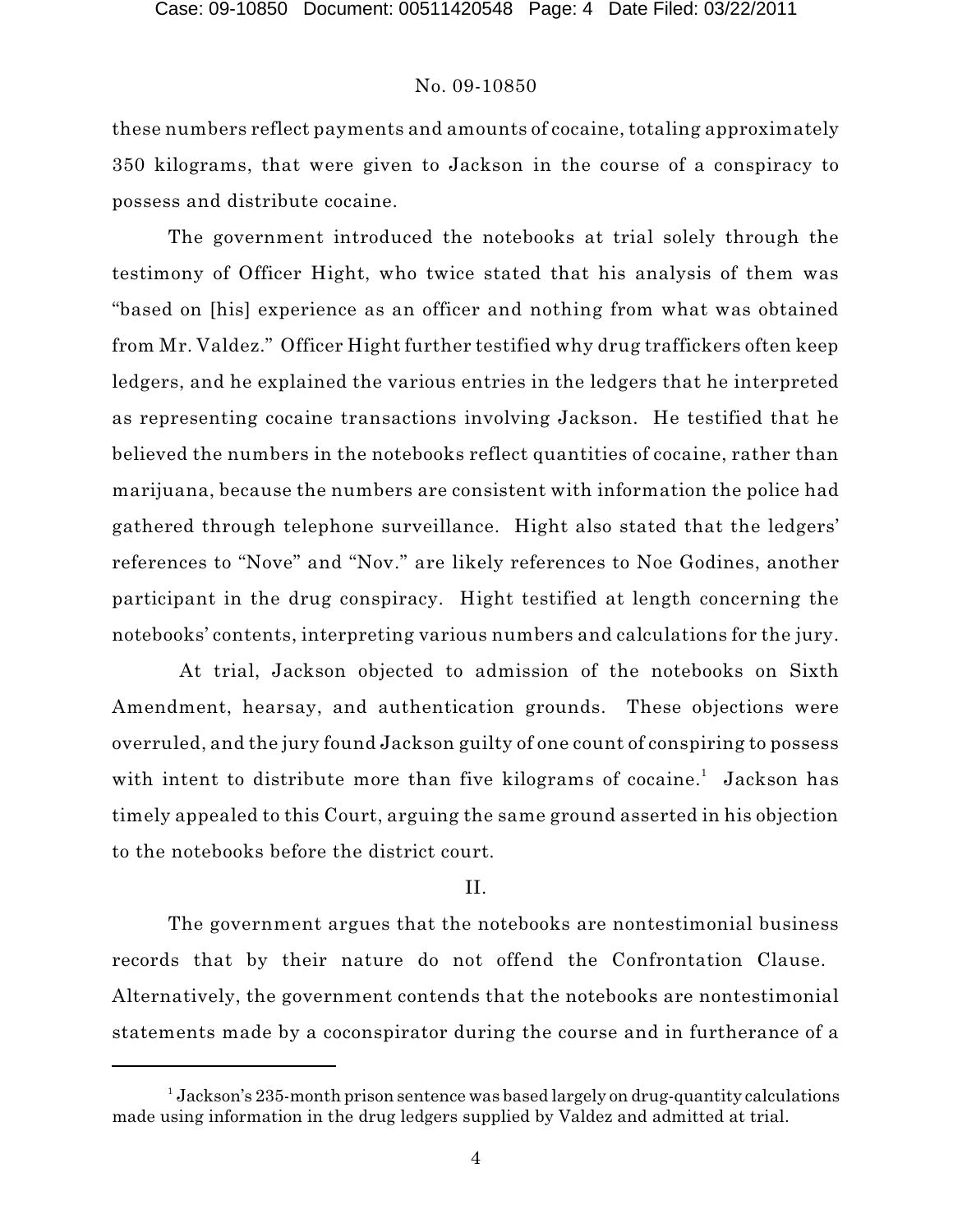these numbers reflect payments and amounts of cocaine, totaling approximately 350 kilograms, that were given to Jackson in the course of a conspiracy to possess and distribute cocaine.

The government introduced the notebooks at trial solely through the testimony of Officer Hight, who twice stated that his analysis of them was "based on [his] experience as an officer and nothing from what was obtained from Mr. Valdez." Officer Hight further testified why drug traffickers often keep ledgers, and he explained the various entries in the ledgers that he interpreted as representing cocaine transactions involving Jackson. He testified that he believed the numbers in the notebooks reflect quantities of cocaine, rather than marijuana, because the numbers are consistent with information the police had gathered through telephone surveillance. Hight also stated that the ledgers' references to "Nove" and "Nov." are likely references to Noe Godines, another participant in the drug conspiracy. Hight testified at length concerning the notebooks' contents, interpreting various numbers and calculations for the jury.

At trial, Jackson objected to admission of the notebooks on Sixth Amendment, hearsay, and authentication grounds. These objections were overruled, and the jury found Jackson guilty of one count of conspiring to possess with intent to distribute more than five kilograms of cocaine.<sup>1</sup> Jackson has timely appealed to this Court, arguing the same ground asserted in his objection to the notebooks before the district court.

# II.

The government argues that the notebooks are nontestimonial business records that by their nature do not offend the Confrontation Clause. Alternatively, the government contends that the notebooks are nontestimonial statements made by a coconspirator during the course and in furtherance of a

 $^1$  Jackson's 235-month prison sentence was based largely on drug-quantity calculations made using information in the drug ledgers supplied by Valdez and admitted at trial.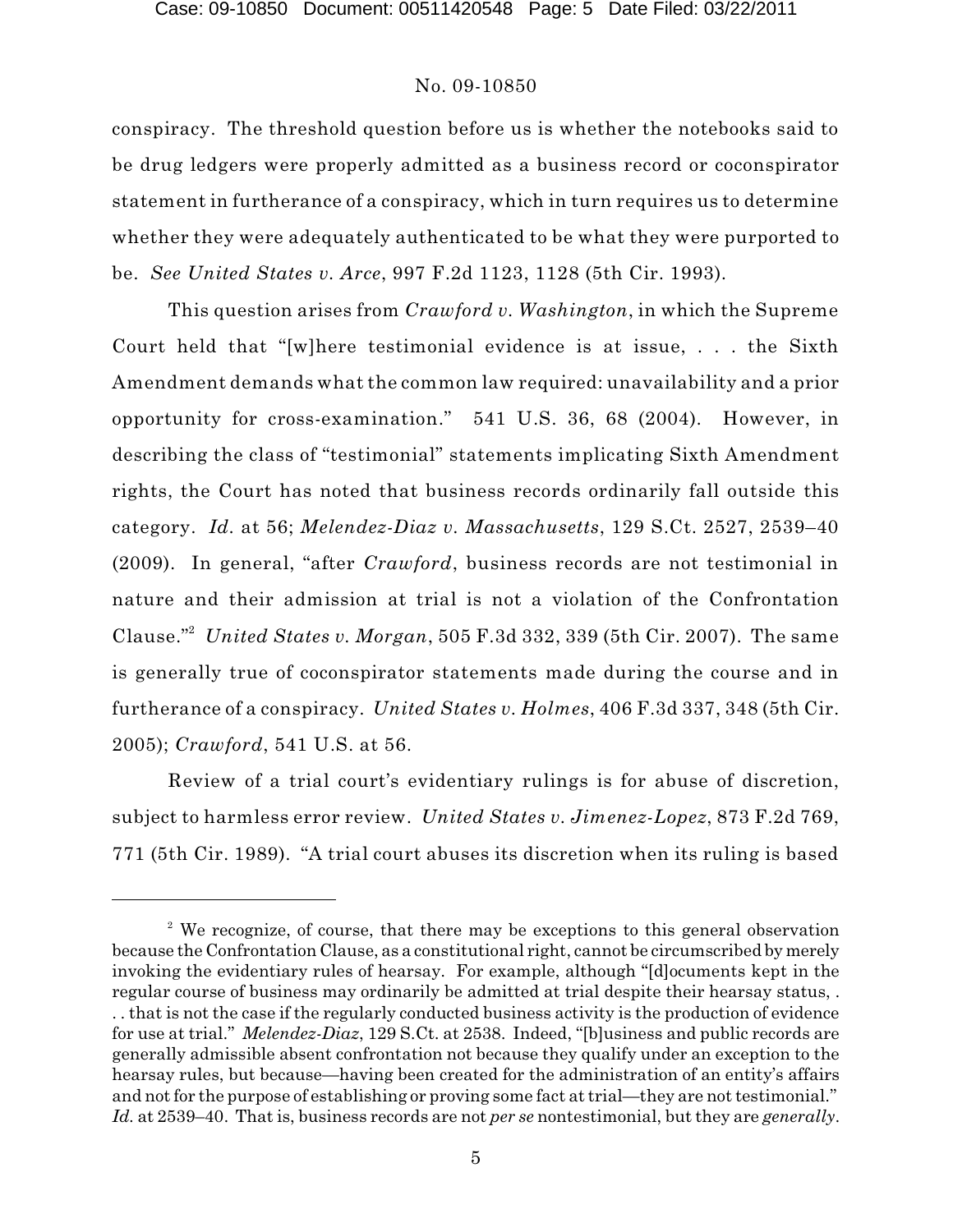conspiracy. The threshold question before us is whether the notebooks said to be drug ledgers were properly admitted as a business record or coconspirator statement in furtherance of a conspiracy, which in turn requires us to determine whether they were adequately authenticated to be what they were purported to be. *See United States v. Arce*, 997 F.2d 1123, 1128 (5th Cir. 1993).

This question arises from *Crawford v. Washington*, in which the Supreme Court held that "[w]here testimonial evidence is at issue, . . . the Sixth Amendment demands what the common law required: unavailability and a prior opportunity for cross-examination." 541 U.S. 36, 68 (2004). However, in describing the class of "testimonial" statements implicating Sixth Amendment rights, the Court has noted that business records ordinarily fall outside this category. *Id.* at 56; *Melendez-Diaz v. Massachusetts*, 129 S.Ct. 2527, 2539–40 (2009). In general, "after *Crawford*, business records are not testimonial in nature and their admission at trial is not a violation of the Confrontation Clause."<sup>2</sup> United States v. Morgan, 505 F.3d 332, 339 (5th Cir. 2007). The same is generally true of coconspirator statements made during the course and in furtherance of a conspiracy. *United States v. Holmes*, 406 F.3d 337, 348 (5th Cir. 2005); *Crawford*, 541 U.S. at 56.

Review of a trial court's evidentiary rulings is for abuse of discretion, subject to harmless error review. *United States v. Jimenez-Lopez*, 873 F.2d 769, 771 (5th Cir. 1989). "A trial court abuses its discretion when its ruling is based

<sup>&</sup>lt;sup>2</sup> We recognize, of course, that there may be exceptions to this general observation because the Confrontation Clause, as a constitutional right, cannot be circumscribed by merely invoking the evidentiary rules of hearsay. For example, although "[d]ocuments kept in the regular course of business may ordinarily be admitted at trial despite their hearsay status, . . . that is not the case if the regularly conducted business activity is the production of evidence for use at trial." *Melendez-Diaz*, 129 S.Ct. at 2538. Indeed, "[b]usiness and public records are generally admissible absent confrontation not because they qualify under an exception to the hearsay rules, but because—having been created for the administration of an entity's affairs and not for the purpose of establishing or proving some fact at trial—they are not testimonial." *Id.* at 2539–40. That is, business records are not *per se* nontestimonial, but they are *generally*.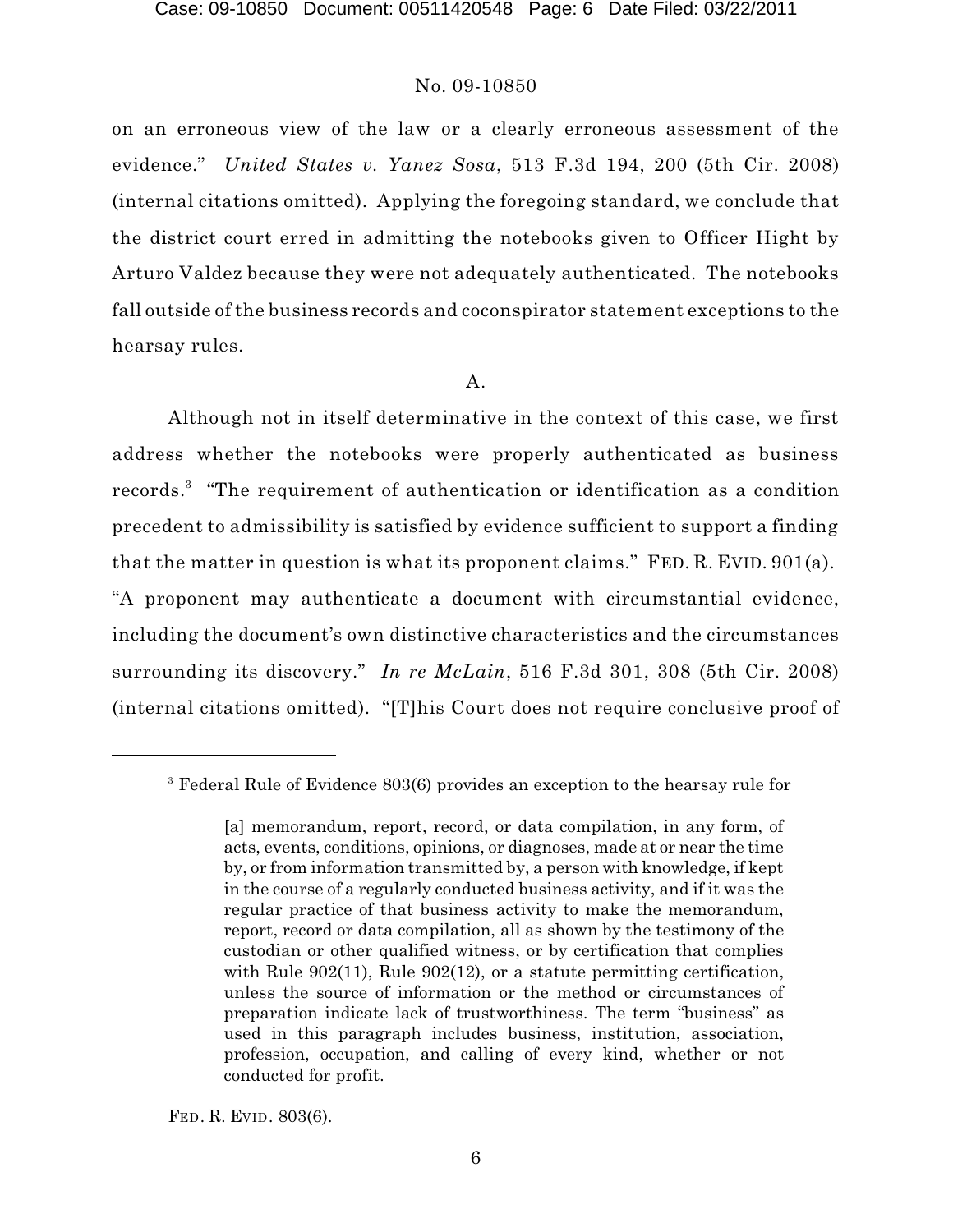on an erroneous view of the law or a clearly erroneous assessment of the evidence." *United States v. Yanez Sosa*, 513 F.3d 194, 200 (5th Cir. 2008) (internal citations omitted). Applying the foregoing standard, we conclude that the district court erred in admitting the notebooks given to Officer Hight by Arturo Valdez because they were not adequately authenticated. The notebooks fall outside of the business records and coconspirator statement exceptions to the hearsay rules.

#### A.

Although not in itself determinative in the context of this case, we first address whether the notebooks were properly authenticated as business records.<sup>3</sup> "The requirement of authentication or identification as a condition precedent to admissibility is satisfied by evidence sufficient to support a finding that the matter in question is what its proponent claims." FED. R. EVID. 901(a). "A proponent may authenticate a document with circumstantial evidence, including the document's own distinctive characteristics and the circumstances surrounding its discovery." *In re McLain*, 516 F.3d 301, 308 (5th Cir. 2008) (internal citations omitted). "[T]his Court does not require conclusive proof of

FED. R. EVID. 803(6).

<sup>&</sup>lt;sup>3</sup> Federal Rule of Evidence 803(6) provides an exception to the hearsay rule for

<sup>[</sup>a] memorandum, report, record, or data compilation, in any form, of acts, events, conditions, opinions, or diagnoses, made at or near the time by, or from information transmitted by, a person with knowledge, if kept in the course of a regularly conducted business activity, and if it was the regular practice of that business activity to make the memorandum, report, record or data compilation, all as shown by the testimony of the custodian or other qualified witness, or by certification that complies with Rule  $902(11)$ , Rule  $902(12)$ , or a statute permitting certification, unless the source of information or the method or circumstances of preparation indicate lack of trustworthiness. The term "business" as used in this paragraph includes business, institution, association, profession, occupation, and calling of every kind, whether or not conducted for profit.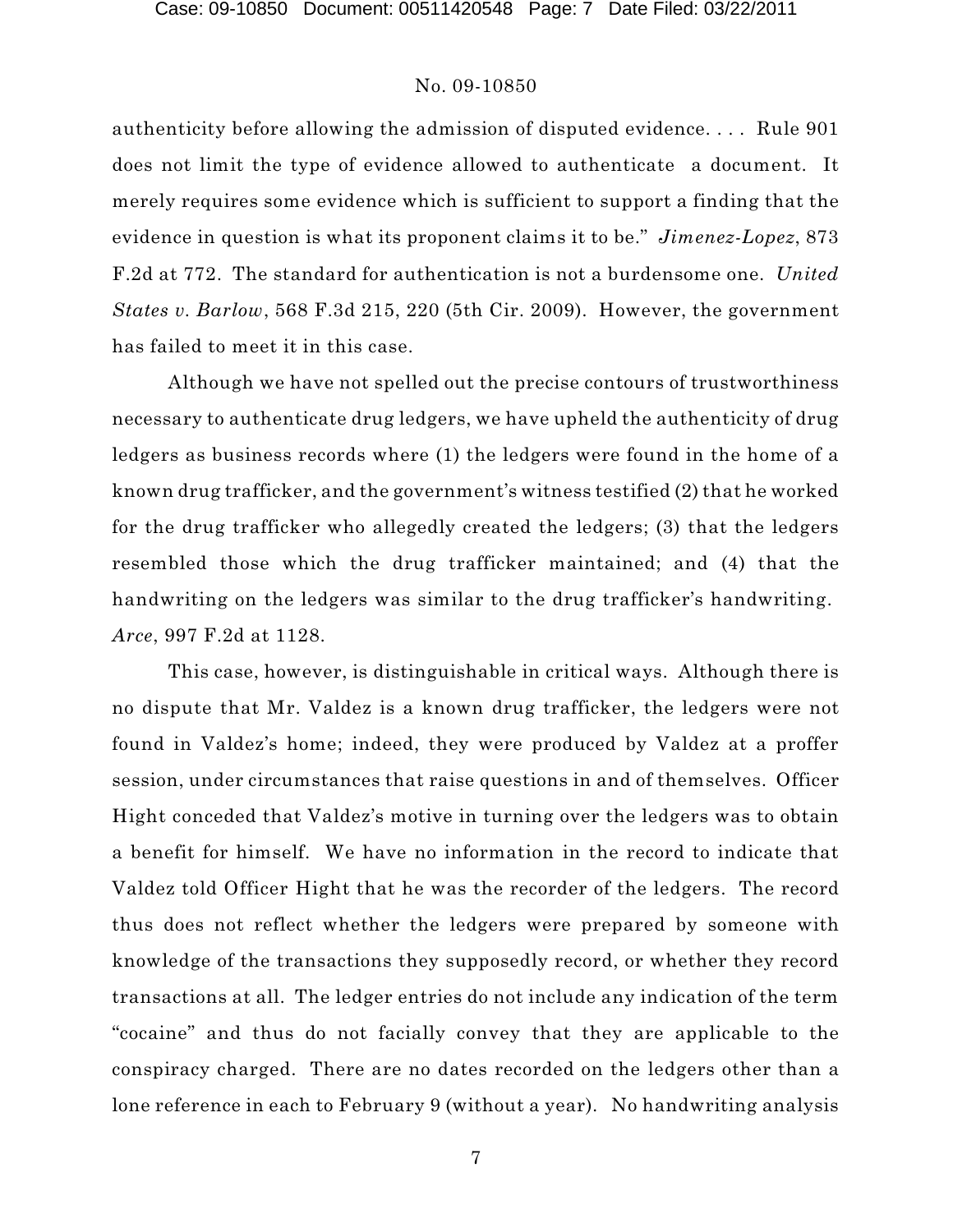authenticity before allowing the admission of disputed evidence. . . . Rule 901 does not limit the type of evidence allowed to authenticate a document. It merely requires some evidence which is sufficient to support a finding that the evidence in question is what its proponent claims it to be." *Jimenez-Lopez*, 873 F.2d at 772. The standard for authentication is not a burdensome one. *United States v. Barlow*, 568 F.3d 215, 220 (5th Cir. 2009). However, the government has failed to meet it in this case.

Although we have not spelled out the precise contours of trustworthiness necessary to authenticate drug ledgers, we have upheld the authenticity of drug ledgers as business records where (1) the ledgers were found in the home of a known drug trafficker, and the government's witness testified (2) that he worked for the drug trafficker who allegedly created the ledgers; (3) that the ledgers resembled those which the drug trafficker maintained; and (4) that the handwriting on the ledgers was similar to the drug trafficker's handwriting. *Arce*, 997 F.2d at 1128.

This case, however, is distinguishable in critical ways. Although there is no dispute that Mr. Valdez is a known drug trafficker, the ledgers were not found in Valdez's home; indeed, they were produced by Valdez at a proffer session, under circumstances that raise questions in and of themselves. Officer Hight conceded that Valdez's motive in turning over the ledgers was to obtain a benefit for himself. We have no information in the record to indicate that Valdez told Officer Hight that he was the recorder of the ledgers. The record thus does not reflect whether the ledgers were prepared by someone with knowledge of the transactions they supposedly record, or whether they record transactions at all. The ledger entries do not include any indication of the term "cocaine" and thus do not facially convey that they are applicable to the conspiracy charged. There are no dates recorded on the ledgers other than a lone reference in each to February 9 (without a year). No handwriting analysis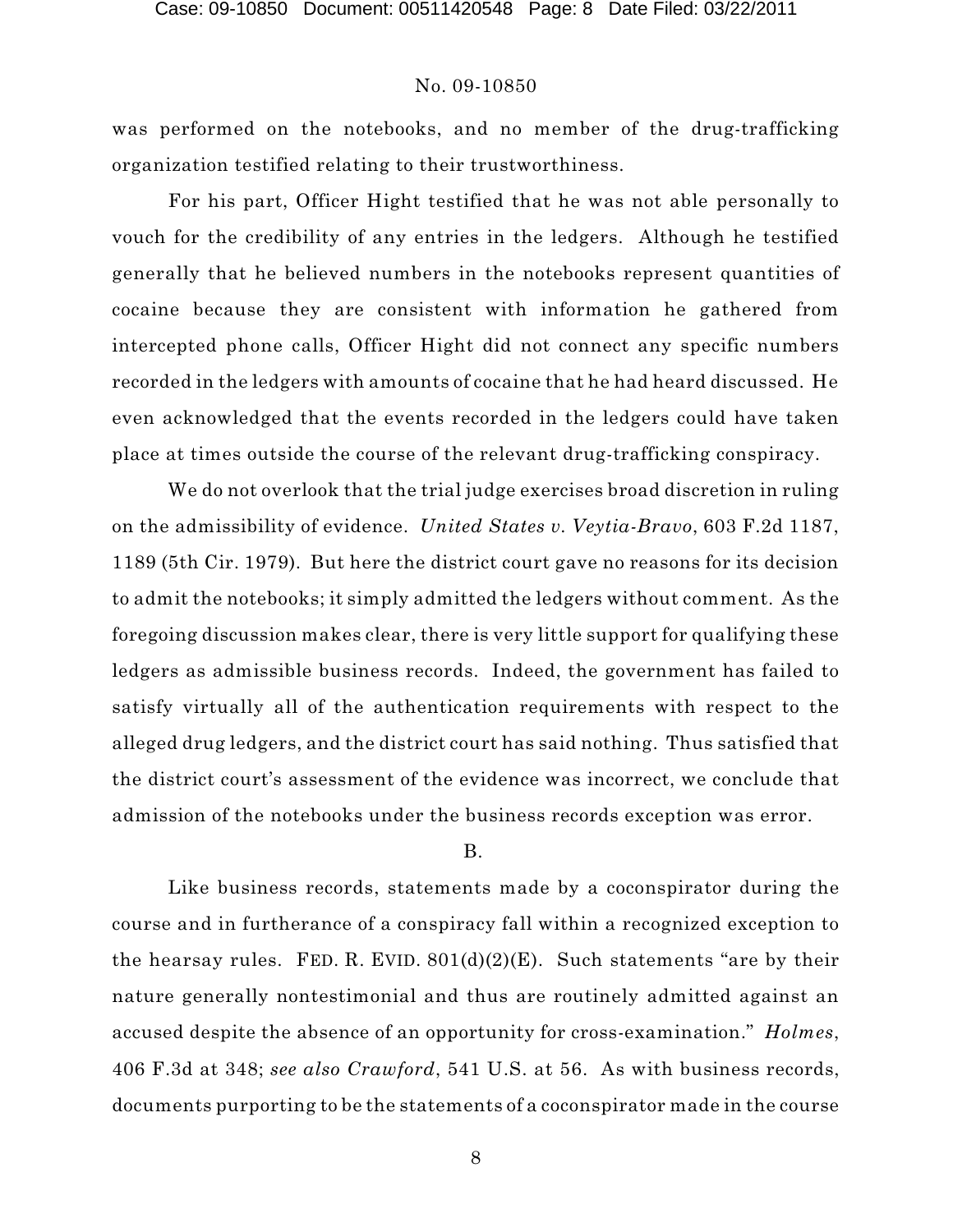was performed on the notebooks, and no member of the drug-trafficking organization testified relating to their trustworthiness.

For his part, Officer Hight testified that he was not able personally to vouch for the credibility of any entries in the ledgers. Although he testified generally that he believed numbers in the notebooks represent quantities of cocaine because they are consistent with information he gathered from intercepted phone calls, Officer Hight did not connect any specific numbers recorded in the ledgers with amounts of cocaine that he had heard discussed. He even acknowledged that the events recorded in the ledgers could have taken place at times outside the course of the relevant drug-trafficking conspiracy.

We do not overlook that the trial judge exercises broad discretion in ruling on the admissibility of evidence. *United States v. Veytia-Bravo*, 603 F.2d 1187, 1189 (5th Cir. 1979). But here the district court gave no reasons for its decision to admit the notebooks; it simply admitted the ledgers without comment. As the foregoing discussion makes clear, there is very little support for qualifying these ledgers as admissible business records. Indeed, the government has failed to satisfy virtually all of the authentication requirements with respect to the alleged drug ledgers, and the district court has said nothing. Thus satisfied that the district court's assessment of the evidence was incorrect, we conclude that admission of the notebooks under the business records exception was error.

#### B.

Like business records, statements made by a coconspirator during the course and in furtherance of a conspiracy fall within a recognized exception to the hearsay rules. FED. R. EVID.  $801(d)(2)(E)$ . Such statements "are by their nature generally nontestimonial and thus are routinely admitted against an accused despite the absence of an opportunity for cross-examination." *Holmes*, 406 F.3d at 348; *see also Crawford*, 541 U.S. at 56. As with business records, documents purporting to be the statements of a coconspirator made in the course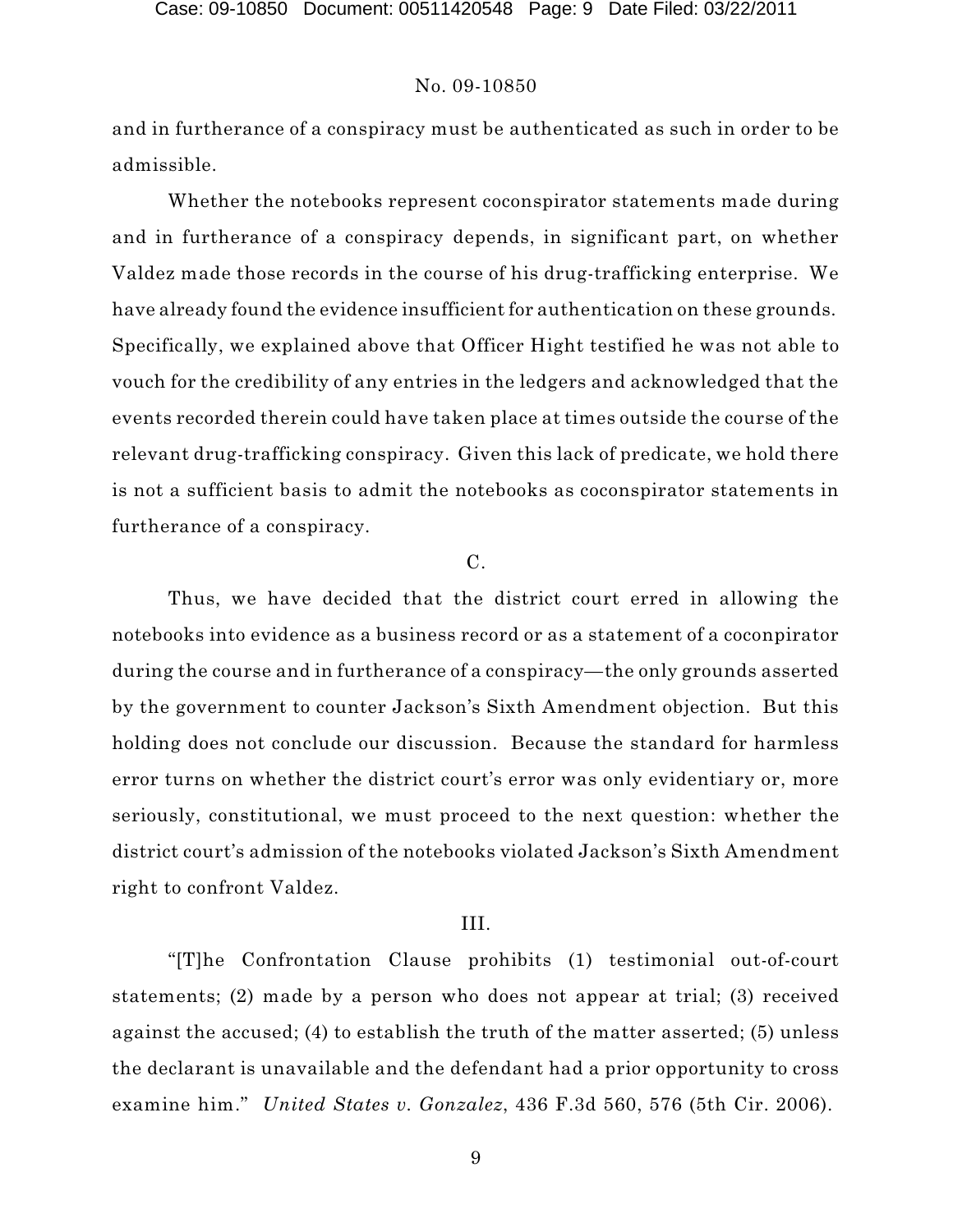and in furtherance of a conspiracy must be authenticated as such in order to be admissible.

Whether the notebooks represent coconspirator statements made during and in furtherance of a conspiracy depends, in significant part, on whether Valdez made those records in the course of his drug-trafficking enterprise. We have already found the evidence insufficient for authentication on these grounds. Specifically, we explained above that Officer Hight testified he was not able to vouch for the credibility of any entries in the ledgers and acknowledged that the events recorded therein could have taken place at times outside the course of the relevant drug-trafficking conspiracy. Given this lack of predicate, we hold there is not a sufficient basis to admit the notebooks as coconspirator statements in furtherance of a conspiracy.

#### C.

Thus, we have decided that the district court erred in allowing the notebooks into evidence as a business record or as a statement of a coconpirator during the course and in furtherance of a conspiracy—the only grounds asserted by the government to counter Jackson's Sixth Amendment objection. But this holding does not conclude our discussion. Because the standard for harmless error turns on whether the district court's error was only evidentiary or, more seriously, constitutional, we must proceed to the next question: whether the district court's admission of the notebooks violated Jackson's Sixth Amendment right to confront Valdez.

#### III.

"[T]he Confrontation Clause prohibits (1) testimonial out-of-court statements; (2) made by a person who does not appear at trial; (3) received against the accused; (4) to establish the truth of the matter asserted; (5) unless the declarant is unavailable and the defendant had a prior opportunity to cross examine him." *United States v. Gonzalez*, 436 F.3d 560, 576 (5th Cir. 2006).

9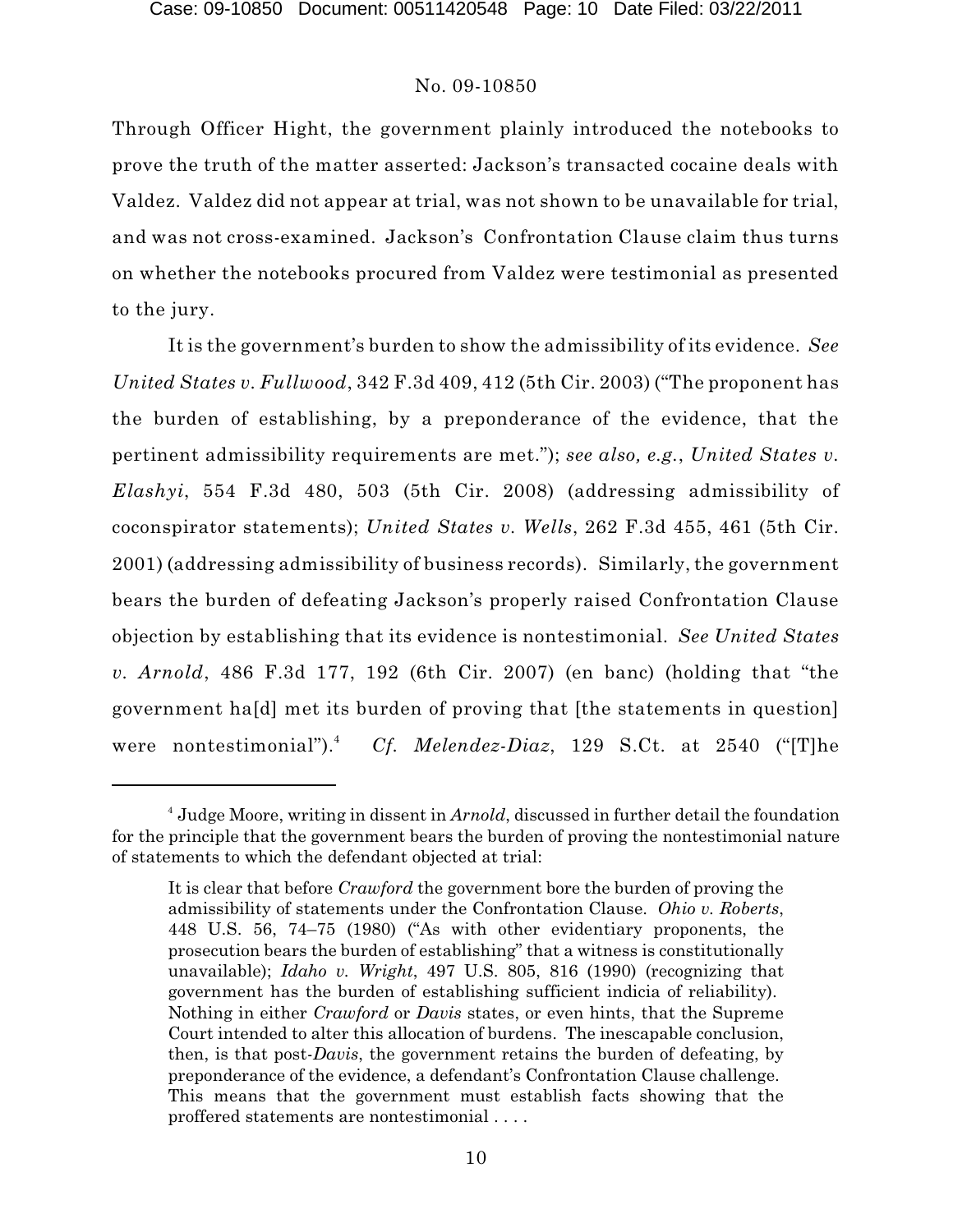Through Officer Hight, the government plainly introduced the notebooks to prove the truth of the matter asserted: Jackson's transacted cocaine deals with Valdez. Valdez did not appear at trial, was not shown to be unavailable for trial, and was not cross-examined. Jackson's Confrontation Clause claim thus turns on whether the notebooks procured from Valdez were testimonial as presented to the jury.

It is the government's burden to show the admissibility of its evidence. *See United States v. Fullwood*, 342 F.3d 409, 412 (5th Cir. 2003) ("The proponent has the burden of establishing, by a preponderance of the evidence, that the pertinent admissibility requirements are met."); *see also, e.g.*, *United States v. Elashyi*, 554 F.3d 480, 503 (5th Cir. 2008) (addressing admissibility of coconspirator statements); *United States v. Wells*, 262 F.3d 455, 461 (5th Cir. 2001) (addressing admissibility of business records). Similarly, the government bears the burden of defeating Jackson's properly raised Confrontation Clause objection by establishing that its evidence is nontestimonial. *See United States v. Arnold*, 486 F.3d 177, 192 (6th Cir. 2007) (en banc) (holding that "the government ha[d] met its burden of proving that [the statements in question] were nontestimonial").<sup>4</sup> *Cf. Melendez-Diaz*, 129 S.Ct. at 2540 ("[T]he

<sup>&</sup>lt;sup>4</sup> Judge Moore, writing in dissent in *Arnold*, discussed in further detail the foundation for the principle that the government bears the burden of proving the nontestimonial nature of statements to which the defendant objected at trial:

It is clear that before *Crawford* the government bore the burden of proving the admissibility of statements under the Confrontation Clause. *Ohio v. Roberts*, 448 U.S. 56, 74–75 (1980) ("As with other evidentiary proponents, the prosecution bears the burden of establishing" that a witness is constitutionally unavailable); *Idaho v. Wright*, 497 U.S. 805, 816 (1990) (recognizing that government has the burden of establishing sufficient indicia of reliability). Nothing in either *Crawford* or *Davis* states, or even hints, that the Supreme Court intended to alter this allocation of burdens. The inescapable conclusion, then, is that post-*Davis*, the government retains the burden of defeating, by preponderance of the evidence, a defendant's Confrontation Clause challenge. This means that the government must establish facts showing that the proffered statements are nontestimonial . . . .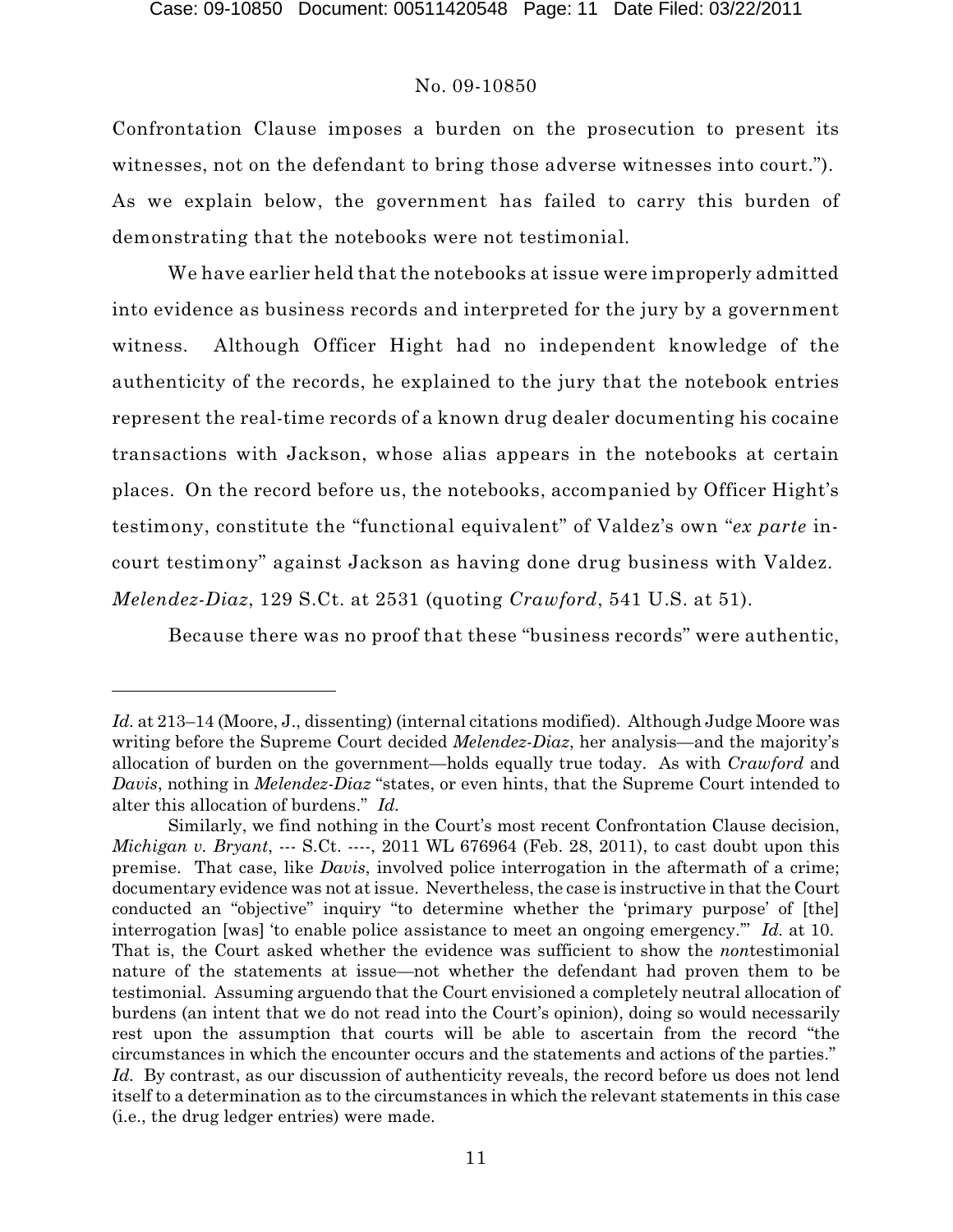Confrontation Clause imposes a burden on the prosecution to present its witnesses, not on the defendant to bring those adverse witnesses into court."). As we explain below, the government has failed to carry this burden of demonstrating that the notebooks were not testimonial.

We have earlier held that the notebooks at issue were improperly admitted into evidence as business records and interpreted for the jury by a government witness. Although Officer Hight had no independent knowledge of the authenticity of the records, he explained to the jury that the notebook entries represent the real-time records of a known drug dealer documenting his cocaine transactions with Jackson, whose alias appears in the notebooks at certain places. On the record before us, the notebooks, accompanied by Officer Hight's testimony, constitute the "functional equivalent" of Valdez's own "*ex parte* incourt testimony" against Jackson as having done drug business with Valdez. *Melendez-Diaz*, 129 S.Ct. at 2531 (quoting *Crawford*, 541 U.S. at 51).

Because there was no proof that these "business records" were authentic,

*Id.* at 213–14 (Moore, J., dissenting) (internal citations modified). Although Judge Moore was writing before the Supreme Court decided *Melendez-Diaz*, her analysis—and the majority's allocation of burden on the government—holds equally true today. As with *Crawford* and *Davis*, nothing in *Melendez-Diaz* "states, or even hints, that the Supreme Court intended to alter this allocation of burdens." *Id.*

Similarly, we find nothing in the Court's most recent Confrontation Clause decision, *Michigan v. Bryant*, --- S.Ct. ----, 2011 WL 676964 (Feb. 28, 2011), to cast doubt upon this premise. That case, like *Davis*, involved police interrogation in the aftermath of a crime; documentary evidence was not at issue. Nevertheless, the case is instructive in that the Court conducted an "objective" inquiry "to determine whether the 'primary purpose' of [the] interrogation [was] 'to enable police assistance to meet an ongoing emergency.'" *Id.* at 10. That is, the Court asked whether the evidence was sufficient to show the *non*testimonial nature of the statements at issue—not whether the defendant had proven them to be testimonial. Assuming arguendo that the Court envisioned a completely neutral allocation of burdens (an intent that we do not read into the Court's opinion), doing so would necessarily rest upon the assumption that courts will be able to ascertain from the record "the circumstances in which the encounter occurs and the statements and actions of the parties." Id. By contrast, as our discussion of authenticity reveals, the record before us does not lend itself to a determination as to the circumstances in which the relevant statements in this case (i.e., the drug ledger entries) were made.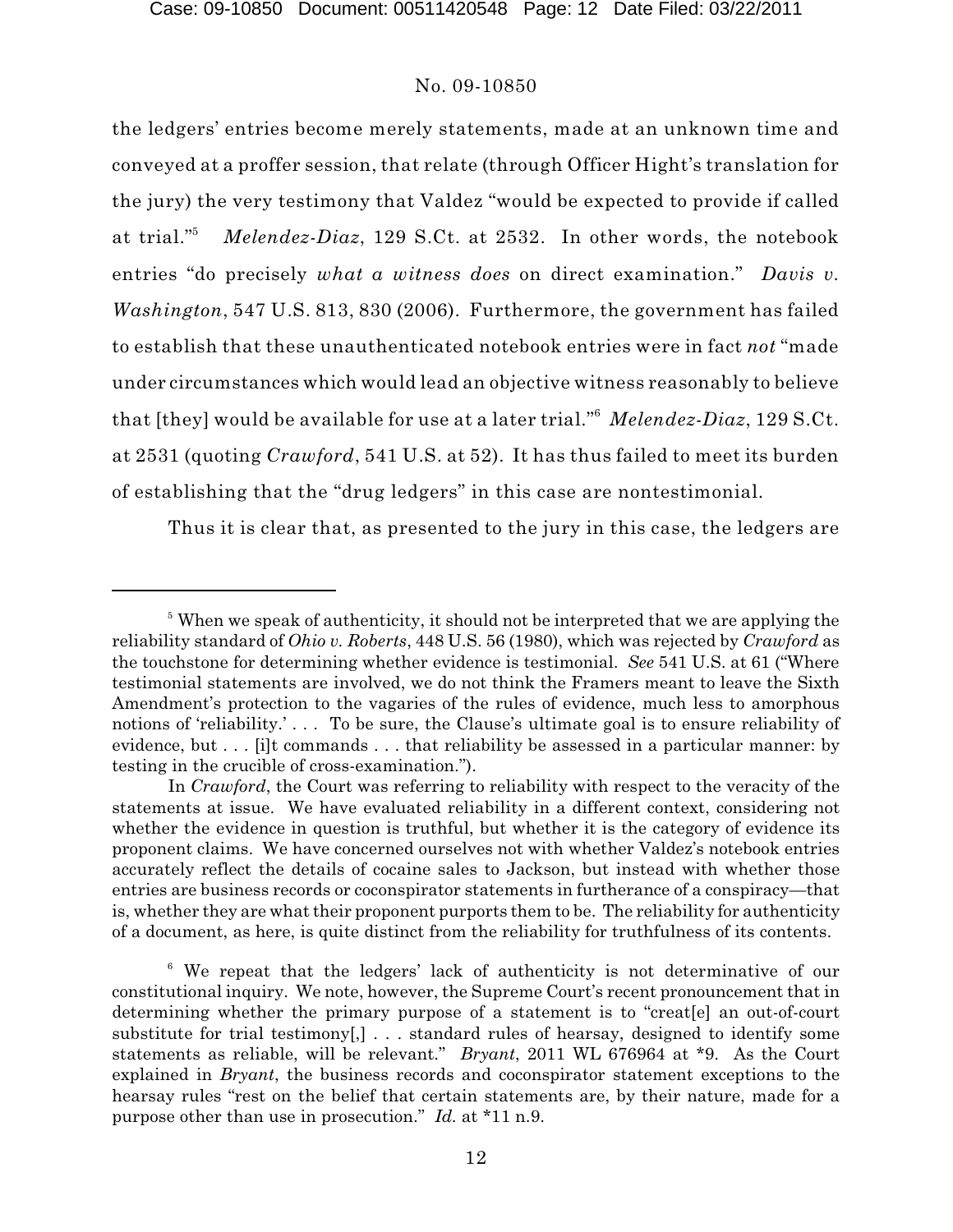the ledgers' entries become merely statements, made at an unknown time and conveyed at a proffer session, that relate (through Officer Hight's translation for the jury) the very testimony that Valdez "would be expected to provide if called Melendez-Diaz, 129 S.Ct. at 2532. In other words, the notebook at trial."<sup>5</sup> entries "do precisely *what a witness does* on direct examination." *Davis v. Washington*, 547 U.S. 813, 830 (2006). Furthermore, the government has failed to establish that these unauthenticated notebook entries were in fact *not* "made under circumstances which would lead an objective witness reasonably to believe that [they] would be available for use at a later trial."<sup>6</sup> Melendez-Diaz, 129 S.Ct. at 2531 (quoting *Crawford*, 541 U.S. at 52). It has thus failed to meet its burden of establishing that the "drug ledgers" in this case are nontestimonial.

Thus it is clear that, as presented to the jury in this case, the ledgers are

 $\delta$  When we speak of authenticity, it should not be interpreted that we are applying the reliability standard of *Ohio v. Roberts*, 448 U.S. 56 (1980), which was rejected by *Crawford* as the touchstone for determining whether evidence is testimonial. *See* 541 U.S. at 61 ("Where testimonial statements are involved, we do not think the Framers meant to leave the Sixth Amendment's protection to the vagaries of the rules of evidence, much less to amorphous notions of 'reliability.' . . . To be sure, the Clause's ultimate goal is to ensure reliability of evidence, but . . . [i]t commands . . . that reliability be assessed in a particular manner: by testing in the crucible of cross-examination.").

In *Crawford*, the Court was referring to reliability with respect to the veracity of the statements at issue. We have evaluated reliability in a different context, considering not whether the evidence in question is truthful, but whether it is the category of evidence its proponent claims. We have concerned ourselves not with whether Valdez's notebook entries accurately reflect the details of cocaine sales to Jackson, but instead with whether those entries are business records or coconspirator statements in furtherance of a conspiracy—that is, whether they are what their proponent purports them to be. The reliability for authenticity of a document, as here, is quite distinct from the reliability for truthfulness of its contents.

 $6\,$  We repeat that the ledgers' lack of authenticity is not determinative of our constitutional inquiry. We note, however, the Supreme Court's recent pronouncement that in determining whether the primary purpose of a statement is to "creat[e] an out-of-court substitute for trial testimony[,]  $\ldots$  standard rules of hearsay, designed to identify some statements as reliable, will be relevant." *Bryant*, 2011 WL 676964 at \*9. As the Court explained in *Bryant*, the business records and coconspirator statement exceptions to the hearsay rules "rest on the belief that certain statements are, by their nature, made for a purpose other than use in prosecution." *Id.* at \*11 n.9.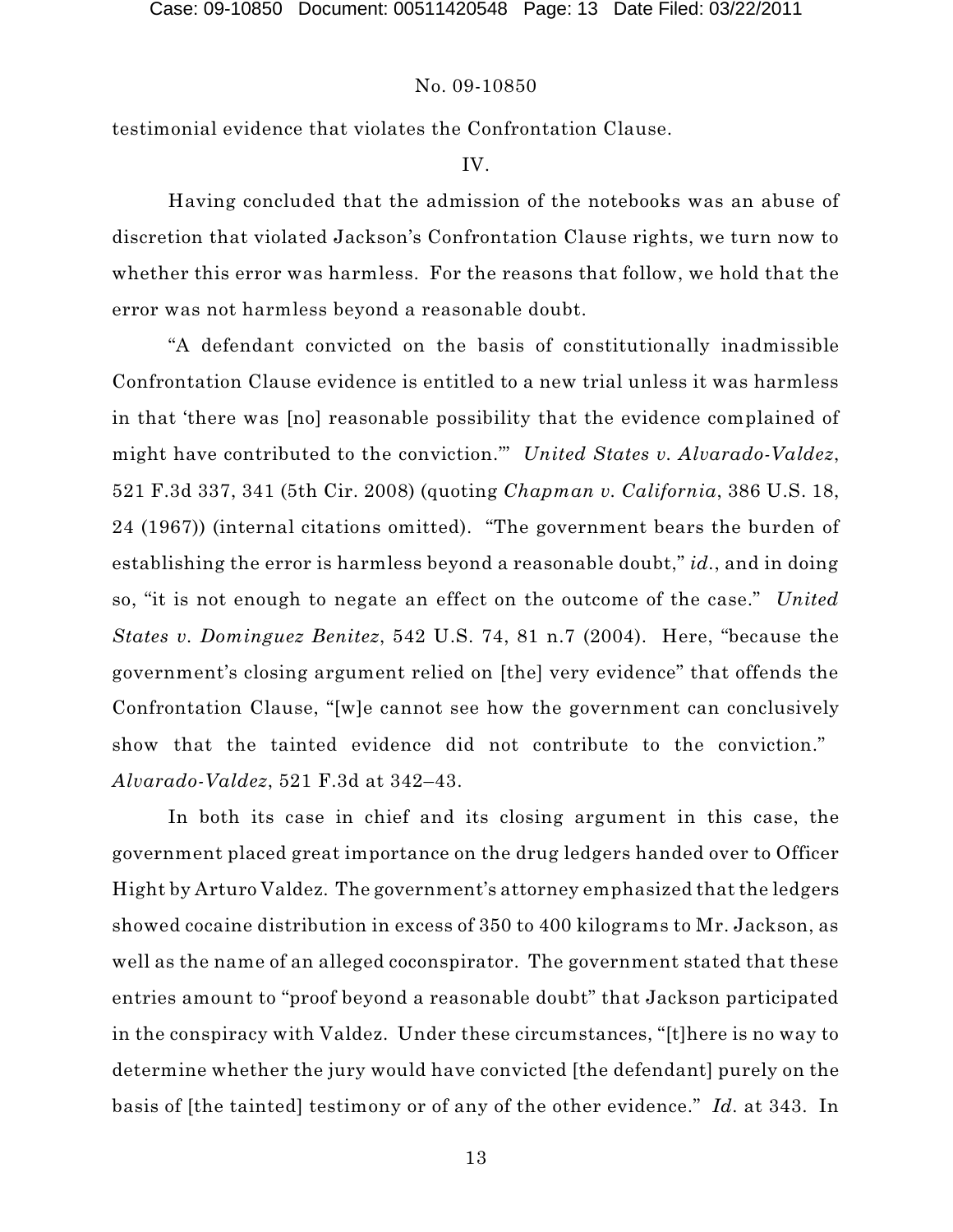testimonial evidence that violates the Confrontation Clause.

# IV.

Having concluded that the admission of the notebooks was an abuse of discretion that violated Jackson's Confrontation Clause rights, we turn now to whether this error was harmless. For the reasons that follow, we hold that the error was not harmless beyond a reasonable doubt.

"A defendant convicted on the basis of constitutionally inadmissible Confrontation Clause evidence is entitled to a new trial unless it was harmless in that 'there was [no] reasonable possibility that the evidence complained of might have contributed to the conviction.'" *United States v. Alvarado-Valdez*, 521 F.3d 337, 341 (5th Cir. 2008) (quoting *Chapman v. California*, 386 U.S. 18, 24 (1967)) (internal citations omitted). "The government bears the burden of establishing the error is harmless beyond a reasonable doubt," *id.*, and in doing so, "it is not enough to negate an effect on the outcome of the case." *United States v. Dominguez Benitez*, 542 U.S. 74, 81 n.7 (2004). Here, "because the government's closing argument relied on [the] very evidence" that offends the Confrontation Clause, "[w]e cannot see how the government can conclusively show that the tainted evidence did not contribute to the conviction." *Alvarado-Valdez*, 521 F.3d at 342–43.

In both its case in chief and its closing argument in this case, the government placed great importance on the drug ledgers handed over to Officer Hight by Arturo Valdez. The government's attorney emphasized that the ledgers showed cocaine distribution in excess of 350 to 400 kilograms to Mr. Jackson, as well as the name of an alleged coconspirator. The government stated that these entries amount to "proof beyond a reasonable doubt" that Jackson participated in the conspiracy with Valdez. Under these circumstances, "[t]here is no way to determine whether the jury would have convicted [the defendant] purely on the basis of [the tainted] testimony or of any of the other evidence." *Id.* at 343. In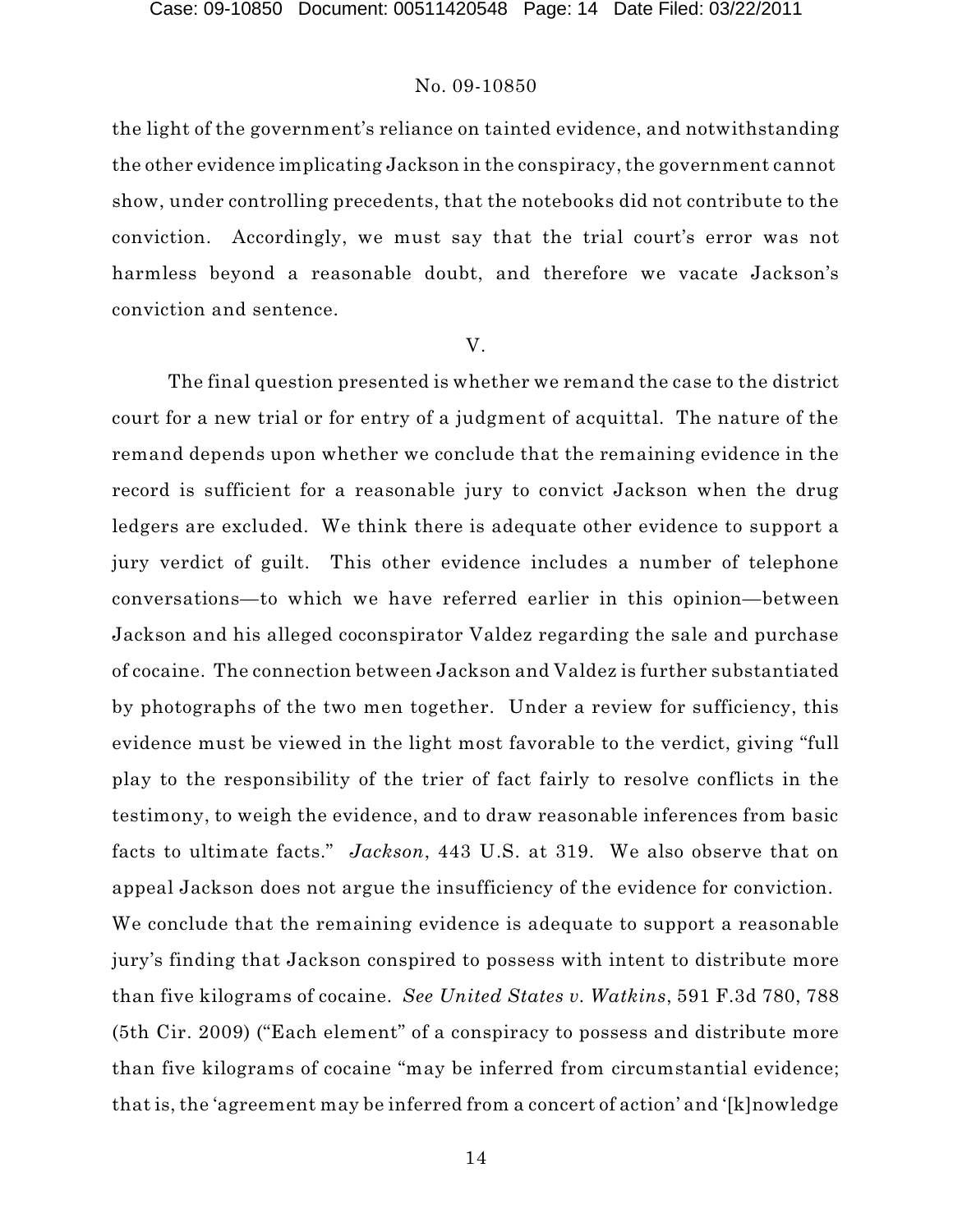the light of the government's reliance on tainted evidence, and notwithstanding the other evidence implicating Jackson in the conspiracy, the government cannot show, under controlling precedents, that the notebooks did not contribute to the conviction. Accordingly, we must say that the trial court's error was not harmless beyond a reasonable doubt, and therefore we vacate Jackson's conviction and sentence.

#### V.

The final question presented is whether we remand the case to the district court for a new trial or for entry of a judgment of acquittal. The nature of the remand depends upon whether we conclude that the remaining evidence in the record is sufficient for a reasonable jury to convict Jackson when the drug ledgers are excluded. We think there is adequate other evidence to support a jury verdict of guilt. This other evidence includes a number of telephone conversations—to which we have referred earlier in this opinion—between Jackson and his alleged coconspirator Valdez regarding the sale and purchase of cocaine. The connection between Jackson and Valdez is further substantiated by photographs of the two men together. Under a review for sufficiency, this evidence must be viewed in the light most favorable to the verdict, giving "full play to the responsibility of the trier of fact fairly to resolve conflicts in the testimony, to weigh the evidence, and to draw reasonable inferences from basic facts to ultimate facts." *Jackson*, 443 U.S. at 319. We also observe that on appeal Jackson does not argue the insufficiency of the evidence for conviction. We conclude that the remaining evidence is adequate to support a reasonable jury's finding that Jackson conspired to possess with intent to distribute more than five kilograms of cocaine. *See United States v. Watkins*, 591 F.3d 780, 788 (5th Cir. 2009) ("Each element" of a conspiracy to possess and distribute more than five kilograms of cocaine "may be inferred from circumstantial evidence; that is, the 'agreement may be inferred from a concert of action' and '[k]nowledge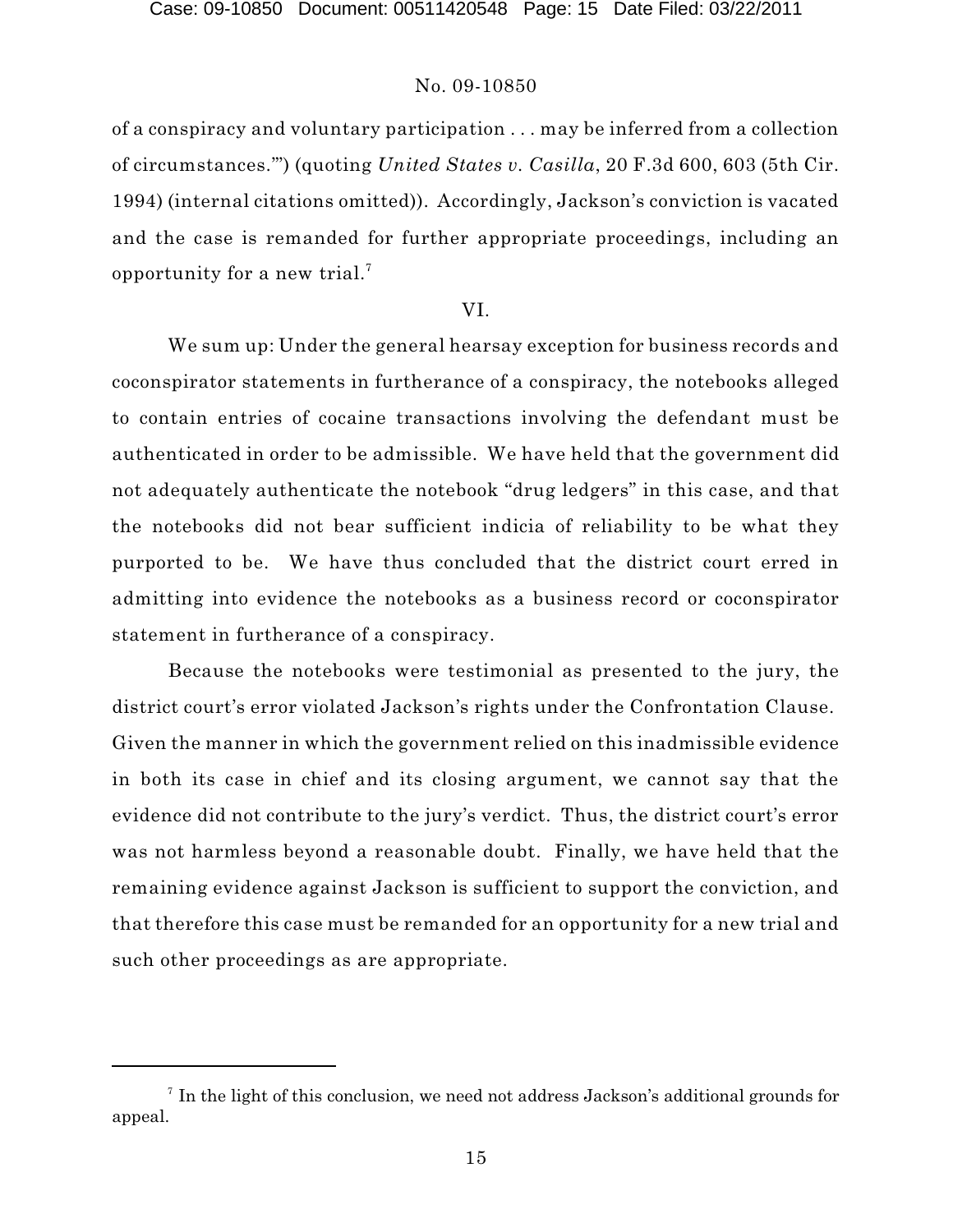of a conspiracy and voluntary participation . . . may be inferred from a collection of circumstances.'") (quoting *United States v. Casilla*, 20 F.3d 600, 603 (5th Cir. 1994) (internal citations omitted)). Accordingly, Jackson's conviction is vacated and the case is remanded for further appropriate proceedings, including an opportunity for a new trial. $^7$ 

#### VI.

We sum up: Under the general hearsay exception for business records and coconspirator statements in furtherance of a conspiracy, the notebooks alleged to contain entries of cocaine transactions involving the defendant must be authenticated in order to be admissible. We have held that the government did not adequately authenticate the notebook "drug ledgers" in this case, and that the notebooks did not bear sufficient indicia of reliability to be what they purported to be. We have thus concluded that the district court erred in admitting into evidence the notebooks as a business record or coconspirator statement in furtherance of a conspiracy.

Because the notebooks were testimonial as presented to the jury, the district court's error violated Jackson's rights under the Confrontation Clause. Given the manner in which the government relied on this inadmissible evidence in both its case in chief and its closing argument, we cannot say that the evidence did not contribute to the jury's verdict. Thus, the district court's error was not harmless beyond a reasonable doubt. Finally, we have held that the remaining evidence against Jackson is sufficient to support the conviction, and that therefore this case must be remanded for an opportunity for a new trial and such other proceedings as are appropriate.

 $\frac{1}{1}$  In the light of this conclusion, we need not address Jackson's additional grounds for appeal.